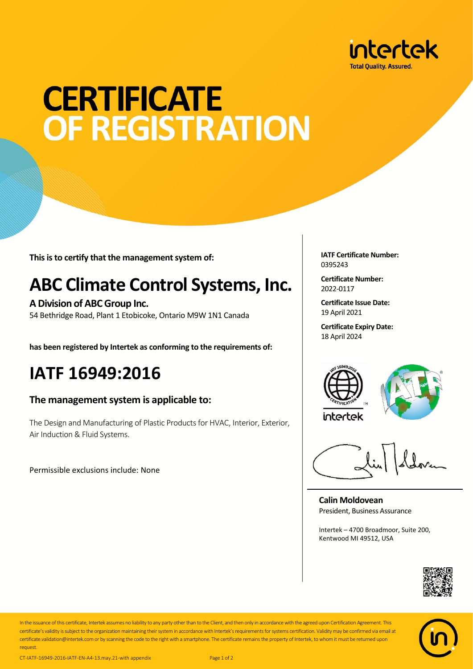

# **CERTIFICATE OF REGISTRATION**

**This is to certify that the management system of:**

## **ABC Climate Control Systems, Inc.**

**A Division of ABC Group Inc.** 54 Bethridge Road, Plant 1 Etobicoke, Ontario M9W 1N1 Canada

**has been registered by Intertek as conforming to the requirements of:**

## **IATF 16949:2016**

#### **The management system is applicable to:**

The Design and Manufacturing of Plastic Products for HVAC, Interior, Exterior, Air Induction & Fluid Systems.

Permissible exclusions include: None

**IATF Certificate Number:** 0395243

**Certificate Number:** 2022-0117

**Certificate Issue Date:** 19 April 2021

**Certificate Expiry Date:** 18 April 2024





**Calin Moldovean** President, Business Assurance

Intertek – 4700 Broadmoor, Suite 200, Kentwood MI 49512, USA





In the issuance of this certificate, Intertek assumes no liability to any party other than to the Client, and then only in accordance with the agreed upon Certification Agreement. This certificate's validity is subject to the organization maintaining their system in accordance with Intertek's requirements for systems certification. Validity may be confirmed via email at certificate.validation@intertek.com or by scanning the code to the right with a smartphone. The certificate remains the property of Intertek, to whom it must be returned upon request.

CT-IATF-16949-2016-IATF-EN-A4-13.may.21-with appendix Page 1 of 2